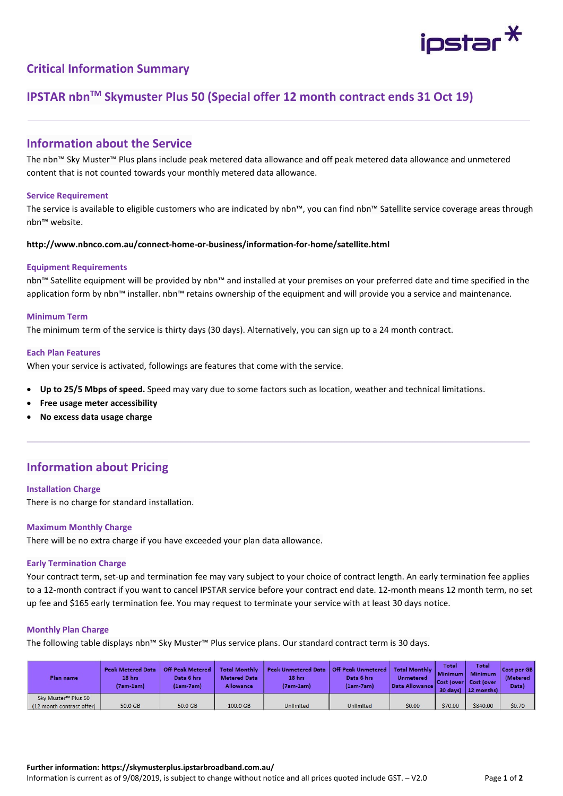

## Critical Information Summary

# IPSTAR nbnTM Skymuster Plus 50 (Special offer 12 month contract ends 31 Oct 19)

## Information about the Service

The nbn™ Sky Muster™ Plus plans include peak metered data allowance and off peak metered data allowance and unmetered content that is not counted towards your monthly metered data allowance.

#### Service Requirement

The service is available to eligible customers who are indicated by nbn™, you can find nbn™ Satellite service coverage areas through nbn™ website.

### http://www.nbnco.com.au/connect-home-or-business/information-for-home/satellite.html

#### Equipment Requirements

nbn™ Satellite equipment will be provided by nbn™ and installed at your premises on your preferred date and time specified in the application form by nbn™ installer. nbn™ retains ownership of the equipment and will provide you a service and maintenance.

## Minimum Term

The minimum term of the service is thirty days (30 days). Alternatively, you can sign up to a 24 month contract.

#### Each Plan Features

When your service is activated, followings are features that come with the service.

- Up to 25/5 Mbps of speed. Speed may vary due to some factors such as location, weather and technical limitations.
- Free usage meter accessibility
- No excess data usage charge

## Information about Pricing

### Installation Charge

There is no charge for standard installation.

### Maximum Monthly Charge

There will be no extra charge if you have exceeded your plan data allowance.

#### Early Termination Charge

Your contract term, set-up and termination fee may vary subject to your choice of contract length. An early termination fee applies to a 12-month contract if you want to cancel IPSTAR service before your contract end date. 12-month means 12 month term, no set up fee and \$165 early termination fee. You may request to terminate your service with at least 30 days notice.

#### Monthly Plan Charge

The following table displays nbn™ Sky Muster™ Plus service plans. Our standard contract term is 30 days.

| <b>Plan name</b>                | <b>Peak Metered Data</b><br>18 hrs<br>(7am-1am) | <b>Off-Peak Metered</b><br>Data 6 hrs<br>(1am-7am) | <b>Total Monthly</b><br><b>Metered Data</b><br>Allowance | <b>Peak Unmetered Data</b><br>18 hrs<br>(7am-1am) | <b>Off-Peak Unmetered</b><br>Data 6 hrs<br>$(1am-7am)$ | <b>Total Monthly</b><br><b>Unmetered</b><br>Data Allowance | <b>Total</b><br><b>Minimum</b><br>30 days) | Total<br><b>Minimum</b><br>Cost (over Cost (over<br>$ 12$ months) | Cost per GB<br><b>(Metered</b><br>Data) |
|---------------------------------|-------------------------------------------------|----------------------------------------------------|----------------------------------------------------------|---------------------------------------------------|--------------------------------------------------------|------------------------------------------------------------|--------------------------------------------|-------------------------------------------------------------------|-----------------------------------------|
| Sky Muster <sup>™</sup> Plus 50 |                                                 |                                                    |                                                          |                                                   |                                                        |                                                            |                                            |                                                                   |                                         |
| (12 month contract offer)       | 50.0 GB                                         | 50.0 GB                                            | 100.0 GB                                                 | Unlimited                                         | Unlimited                                              | \$0.00                                                     | \$70.00                                    | \$840.00                                                          | \$0.70                                  |